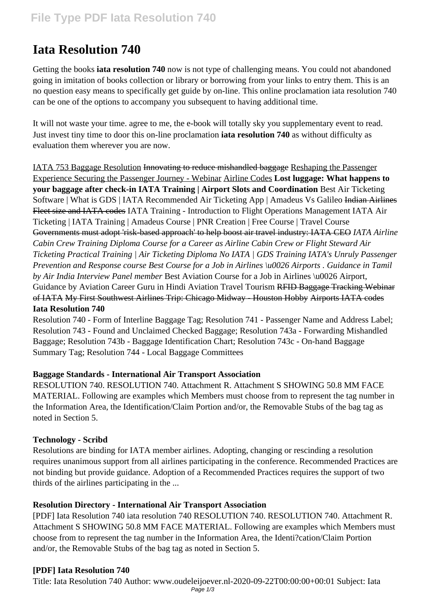# **Iata Resolution 740**

Getting the books **iata resolution 740** now is not type of challenging means. You could not abandoned going in imitation of books collection or library or borrowing from your links to entry them. This is an no question easy means to specifically get guide by on-line. This online proclamation iata resolution 740 can be one of the options to accompany you subsequent to having additional time.

It will not waste your time. agree to me, the e-book will totally sky you supplementary event to read. Just invest tiny time to door this on-line proclamation **iata resolution 740** as without difficulty as evaluation them wherever you are now.

IATA 753 Baggage Resolution Innovating to reduce mishandled baggage Reshaping the Passenger Experience Securing the Passenger Journey - Webinar Airline Codes **Lost luggage: What happens to your baggage after check-in IATA Training | Airport Slots and Coordination** Best Air Ticketing Software | What is GDS | IATA Recommended Air Ticketing App | Amadeus Vs Galileo Indian Airlines Fleet size and IATA codes IATA Training - Introduction to Flight Operations Management IATA Air Ticketing | IATA Training | Amadeus Course | PNR Creation | Free Course | Travel Course Governments must adopt 'risk-based approach' to help boost air travel industry: IATA CEO *IATA Airline Cabin Crew Training Diploma Course for a Career as Airline Cabin Crew or Flight Steward Air Ticketing Practical Training | Air Ticketing Diploma No IATA | GDS Training IATA's Unruly Passenger Prevention and Response course Best Course for a Job in Airlines \u0026 Airports . Guidance in Tamil by Air India Interview Panel member* Best Aviation Course for a Job in Airlines \u0026 Airport, Guidance by Aviation Career Guru in Hindi Aviation Travel Tourism RFID Baggage Tracking Webinar of IATA My First Southwest Airlines Trip: Chicago Midway - Houston Hobby Airports IATA codes **Iata Resolution 740**

Resolution 740 - Form of Interline Baggage Tag; Resolution 741 - Passenger Name and Address Label; Resolution 743 - Found and Unclaimed Checked Baggage; Resolution 743a - Forwarding Mishandled Baggage; Resolution 743b - Baggage Identification Chart; Resolution 743c - On-hand Baggage Summary Tag; Resolution 744 - Local Baggage Committees

## **Baggage Standards - International Air Transport Association**

RESOLUTION 740. RESOLUTION 740. Attachment R. Attachment S SHOWING 50.8 MM FACE MATERIAL. Following are examples which Members must choose from to represent the tag number in the Information Area, the Identification/Claim Portion and/or, the Removable Stubs of the bag tag as noted in Section 5.

## **Technology - Scribd**

Resolutions are binding for IATA member airlines. Adopting, changing or rescinding a resolution requires unanimous support from all airlines participating in the conference. Recommended Practices are not binding but provide guidance. Adoption of a Recommended Practices requires the support of two thirds of the airlines participating in the ...

## **Resolution Directory - International Air Transport Association**

[PDF] Iata Resolution 740 iata resolution 740 RESOLUTION 740. RESOLUTION 740. Attachment R. Attachment S SHOWING 50.8 MM FACE MATERIAL. Following are examples which Members must choose from to represent the tag number in the Information Area, the Identi?cation/Claim Portion and/or, the Removable Stubs of the bag tag as noted in Section 5.

## **[PDF] Iata Resolution 740**

Title: Iata Resolution 740 Author: www.oudeleijoever.nl-2020-09-22T00:00:00+00:01 Subject: Iata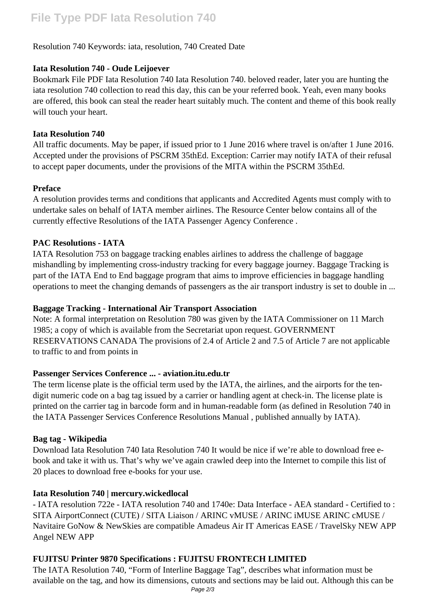## **File Type PDF Iata Resolution 740**

#### Resolution 740 Keywords: iata, resolution, 740 Created Date

#### **Iata Resolution 740 - Oude Leijoever**

Bookmark File PDF Iata Resolution 740 Iata Resolution 740. beloved reader, later you are hunting the iata resolution 740 collection to read this day, this can be your referred book. Yeah, even many books are offered, this book can steal the reader heart suitably much. The content and theme of this book really will touch your heart.

#### **Iata Resolution 740**

All traffic documents. May be paper, if issued prior to 1 June 2016 where travel is on/after 1 June 2016. Accepted under the provisions of PSCRM 35thEd. Exception: Carrier may notify IATA of their refusal to accept paper documents, under the provisions of the MITA within the PSCRM 35thEd.

#### **Preface**

A resolution provides terms and conditions that applicants and Accredited Agents must comply with to undertake sales on behalf of IATA member airlines. The Resource Center below contains all of the currently effective Resolutions of the IATA Passenger Agency Conference .

#### **PAC Resolutions - IATA**

IATA Resolution 753 on baggage tracking enables airlines to address the challenge of baggage mishandling by implementing cross-industry tracking for every baggage journey. Baggage Tracking is part of the IATA End to End baggage program that aims to improve efficiencies in baggage handling operations to meet the changing demands of passengers as the air transport industry is set to double in ...

#### **Baggage Tracking - International Air Transport Association**

Note: A formal interpretation on Resolution 780 was given by the IATA Commissioner on 11 March 1985; a copy of which is available from the Secretariat upon request. GOVERNMENT RESERVATIONS CANADA The provisions of 2.4 of Article 2 and 7.5 of Article 7 are not applicable to traffic to and from points in

#### **Passenger Services Conference ... - aviation.itu.edu.tr**

The term license plate is the official term used by the IATA, the airlines, and the airports for the tendigit numeric code on a bag tag issued by a carrier or handling agent at check-in. The license plate is printed on the carrier tag in barcode form and in human-readable form (as defined in Resolution 740 in the IATA Passenger Services Conference Resolutions Manual , published annually by IATA).

#### **Bag tag - Wikipedia**

Download Iata Resolution 740 Iata Resolution 740 It would be nice if we're able to download free ebook and take it with us. That's why we've again crawled deep into the Internet to compile this list of 20 places to download free e-books for your use.

#### **Iata Resolution 740 | mercury.wickedlocal**

- IATA resolution 722e - IATA resolution 740 and 1740e: Data Interface - AEA standard - Certified to : SITA AirportConnect (CUTE) / SITA Liaison / ARINC vMUSE / ARINC iMUSE ARINC cMUSE / Navitaire GoNow & NewSkies are compatible Amadeus Air IT Americas EASE / TravelSky NEW APP Angel NEW APP

#### **FUJITSU Printer 9870 Specifications : FUJITSU FRONTECH LIMITED**

The IATA Resolution 740, "Form of Interline Baggage Tag", describes what information must be available on the tag, and how its dimensions, cutouts and sections may be laid out. Although this can be